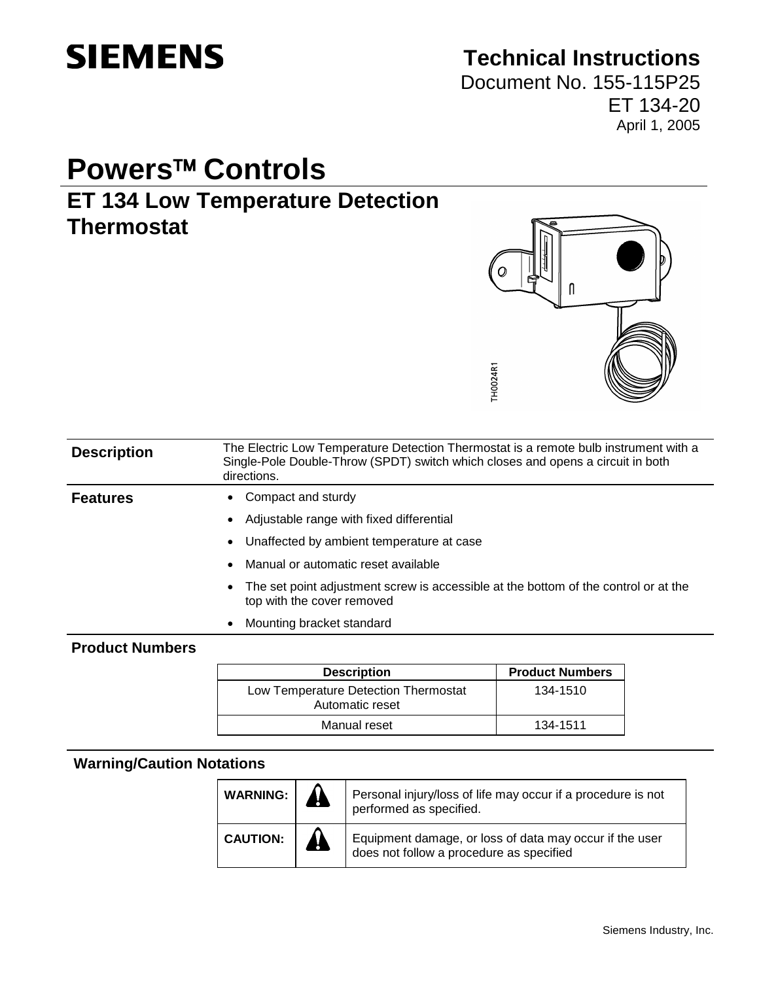

# **Technical Instructions**

Document No. 155-115P25 ET 134-20 April 1, 2005

# **Powers<sup>™</sup> Controls**

# **ET 134 Low Temperature Detection Thermostat**



| <b>Description</b> | The Electric Low Temperature Detection Thermostat is a remote bulb instrument with a<br>Single-Pole Double-Throw (SPDT) switch which closes and opens a circuit in both<br>directions. |
|--------------------|----------------------------------------------------------------------------------------------------------------------------------------------------------------------------------------|
| <b>Features</b>    | Compact and sturdy<br>$\bullet$                                                                                                                                                        |
|                    | Adjustable range with fixed differential                                                                                                                                               |
|                    | Unaffected by ambient temperature at case<br>$\bullet$                                                                                                                                 |
|                    | Manual or automatic reset available                                                                                                                                                    |
|                    | The set point adjustment screw is accessible at the bottom of the control or at the<br>$\bullet$<br>top with the cover removed                                                         |

• Mounting bracket standard

### **Product Numbers**

| <b>Description</b>                                      | <b>Product Numbers</b> |
|---------------------------------------------------------|------------------------|
| Low Temperature Detection Thermostat<br>Automatic reset | 134-1510               |
| Manual reset                                            | 134-1511               |

### **Warning/Caution Notations**

| <b>WARNING:</b> | Personal injury/loss of life may occur if a procedure is not<br>performed as specified.             |
|-----------------|-----------------------------------------------------------------------------------------------------|
| <b>CAUTION:</b> | Equipment damage, or loss of data may occur if the user<br>does not follow a procedure as specified |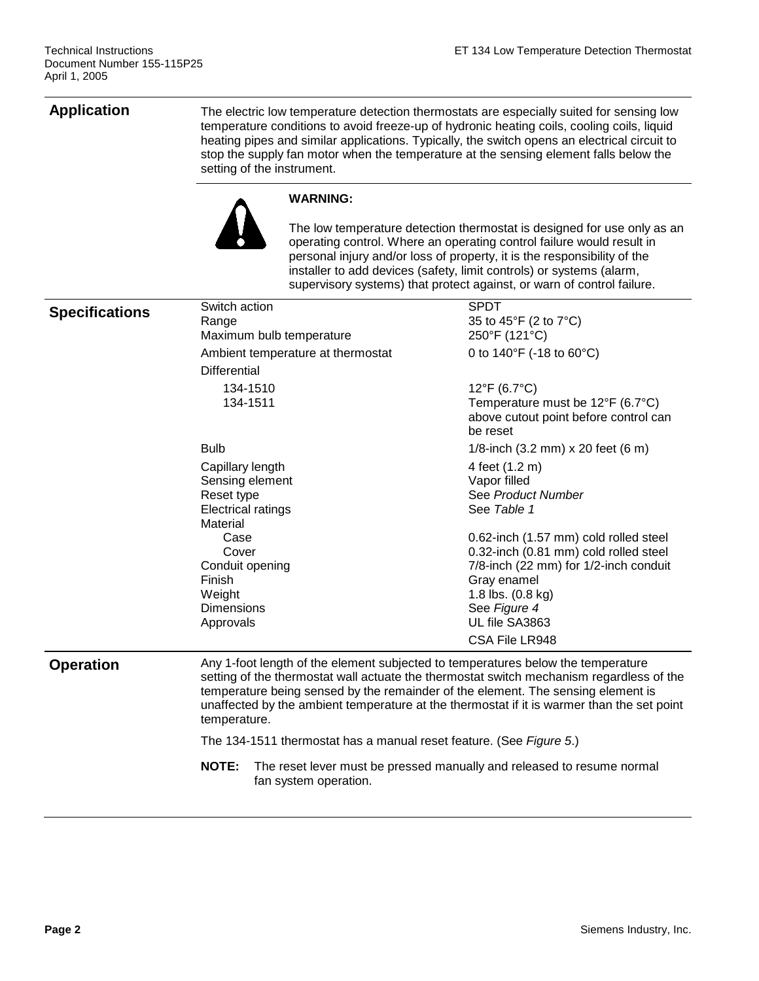**Application** The electric low temperature detection thermostats are especially suited for sensing low temperature conditions to avoid freeze-up of hydronic heating coils, cooling coils, liquid heating pipes and similar applications. Typically, the switch opens an electrical circuit to stop the supply fan motor when the temperature at the sensing element falls below the setting of the instrument.



#### **WARNING:**

The low temperature detection thermostat is designed for use only as an operating control. Where an operating control failure would result in personal injury and/or loss of property, it is the responsibility of the installer to add devices (safety, limit controls) or systems (alarm, supervisory systems) that protect against, or warn of control failure.

| <b>Specifications</b> | Switch action<br>Range                                                                                                                                                                                                                                                                                                                                                         | <b>SPDT</b><br>35 to 45°F (2 to 7°C)                                                  |  |  |  |  |
|-----------------------|--------------------------------------------------------------------------------------------------------------------------------------------------------------------------------------------------------------------------------------------------------------------------------------------------------------------------------------------------------------------------------|---------------------------------------------------------------------------------------|--|--|--|--|
|                       | Maximum bulb temperature                                                                                                                                                                                                                                                                                                                                                       | 250°F (121°C)                                                                         |  |  |  |  |
|                       | Ambient temperature at thermostat                                                                                                                                                                                                                                                                                                                                              | 0 to 140°F (-18 to 60°C)                                                              |  |  |  |  |
|                       | <b>Differential</b>                                                                                                                                                                                                                                                                                                                                                            |                                                                                       |  |  |  |  |
|                       | 134-1510                                                                                                                                                                                                                                                                                                                                                                       | 12°F (6.7°C)                                                                          |  |  |  |  |
|                       | 134-1511                                                                                                                                                                                                                                                                                                                                                                       | Temperature must be 12°F (6.7°C)<br>above cutout point before control can<br>be reset |  |  |  |  |
|                       | <b>Bulb</b>                                                                                                                                                                                                                                                                                                                                                                    | 1/8-inch (3.2 mm) x 20 feet (6 m)                                                     |  |  |  |  |
|                       | Capillary length                                                                                                                                                                                                                                                                                                                                                               | 4 feet (1.2 m)                                                                        |  |  |  |  |
|                       | Sensing element                                                                                                                                                                                                                                                                                                                                                                | Vapor filled                                                                          |  |  |  |  |
|                       | Reset type                                                                                                                                                                                                                                                                                                                                                                     | See Product Number                                                                    |  |  |  |  |
|                       | <b>Electrical ratings</b>                                                                                                                                                                                                                                                                                                                                                      | See Table 1                                                                           |  |  |  |  |
|                       | Material<br>Case                                                                                                                                                                                                                                                                                                                                                               |                                                                                       |  |  |  |  |
|                       | Cover                                                                                                                                                                                                                                                                                                                                                                          | 0.62-inch (1.57 mm) cold rolled steel<br>0.32-inch (0.81 mm) cold rolled steel        |  |  |  |  |
|                       | Conduit opening                                                                                                                                                                                                                                                                                                                                                                | 7/8-inch (22 mm) for 1/2-inch conduit                                                 |  |  |  |  |
|                       | Finish                                                                                                                                                                                                                                                                                                                                                                         | Gray enamel                                                                           |  |  |  |  |
|                       | Weight                                                                                                                                                                                                                                                                                                                                                                         | 1.8 lbs. (0.8 kg)                                                                     |  |  |  |  |
|                       | <b>Dimensions</b>                                                                                                                                                                                                                                                                                                                                                              | See Figure 4                                                                          |  |  |  |  |
|                       | Approvals                                                                                                                                                                                                                                                                                                                                                                      | UL file SA3863                                                                        |  |  |  |  |
|                       |                                                                                                                                                                                                                                                                                                                                                                                | CSA File LR948                                                                        |  |  |  |  |
| <b>Operation</b>      | Any 1-foot length of the element subjected to temperatures below the temperature<br>setting of the thermostat wall actuate the thermostat switch mechanism regardless of the<br>temperature being sensed by the remainder of the element. The sensing element is<br>unaffected by the ambient temperature at the thermostat if it is warmer than the set point<br>temperature. |                                                                                       |  |  |  |  |
|                       |                                                                                                                                                                                                                                                                                                                                                                                | The 134-1511 thermostat has a manual reset feature. (See Figure 5.)                   |  |  |  |  |
|                       | <b>NOTE:</b><br>fan system operation.                                                                                                                                                                                                                                                                                                                                          | The reset lever must be pressed manually and released to resume normal                |  |  |  |  |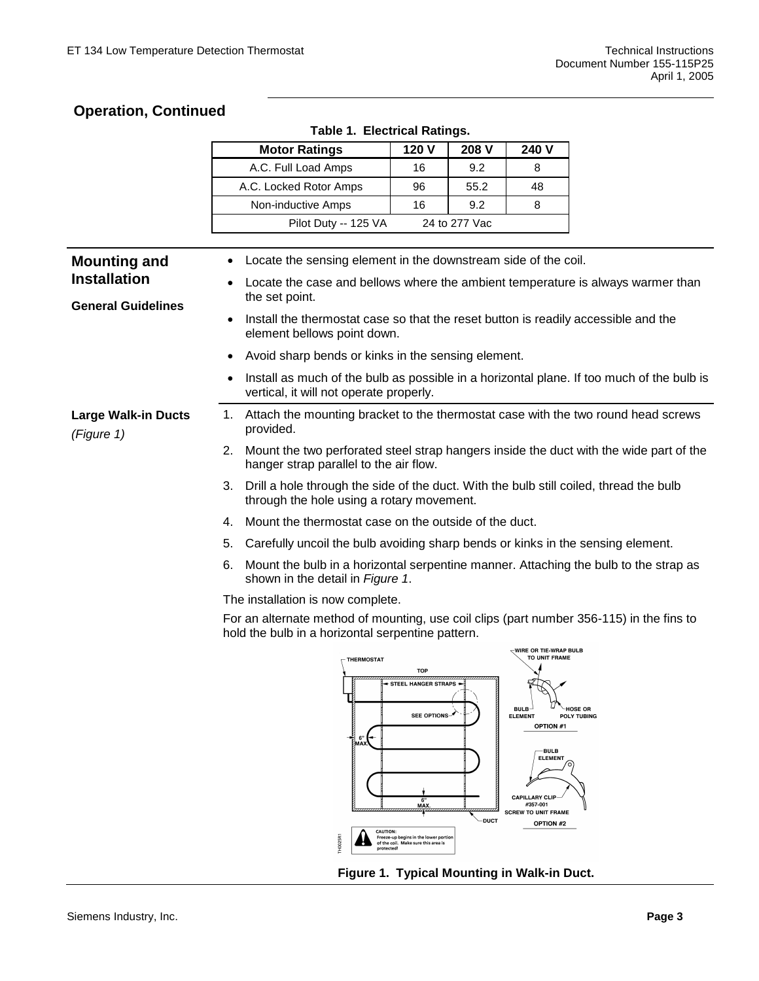$\overline{\Gamma}$ 

### **Operation, Continued**

|  |  | <b>Table 1. Electrical Ratings.</b> |  |
|--|--|-------------------------------------|--|
|--|--|-------------------------------------|--|

|                                                  |                                                                                                                                | <b>Motor Ratings</b>                                                                                                                          | 120 V                                                                        | 208 V         | 240 V                                                                        |                                      |
|--------------------------------------------------|--------------------------------------------------------------------------------------------------------------------------------|-----------------------------------------------------------------------------------------------------------------------------------------------|------------------------------------------------------------------------------|---------------|------------------------------------------------------------------------------|--------------------------------------|
|                                                  |                                                                                                                                | A.C. Full Load Amps                                                                                                                           | 16                                                                           | 9.2           | 8                                                                            |                                      |
|                                                  |                                                                                                                                | A.C. Locked Rotor Amps                                                                                                                        | 96                                                                           | 55.2          | 48                                                                           |                                      |
|                                                  |                                                                                                                                | Non-inductive Amps                                                                                                                            | 16                                                                           | 9.2           | 8                                                                            |                                      |
|                                                  |                                                                                                                                | Pilot Duty -- 125 VA                                                                                                                          |                                                                              | 24 to 277 Vac |                                                                              |                                      |
|                                                  |                                                                                                                                |                                                                                                                                               |                                                                              |               |                                                                              |                                      |
| <b>Mounting and</b>                              |                                                                                                                                | Locate the sensing element in the downstream side of the coil.                                                                                |                                                                              |               |                                                                              |                                      |
| <b>Installation</b><br><b>General Guidelines</b> |                                                                                                                                | Locate the case and bellows where the ambient temperature is always warmer than<br>the set point.                                             |                                                                              |               |                                                                              |                                      |
|                                                  | Install the thermostat case so that the reset button is readily accessible and the<br>$\bullet$<br>element bellows point down. |                                                                                                                                               |                                                                              |               |                                                                              |                                      |
|                                                  | ٠                                                                                                                              | Avoid sharp bends or kinks in the sensing element.                                                                                            |                                                                              |               |                                                                              |                                      |
|                                                  | $\bullet$                                                                                                                      | Install as much of the bulb as possible in a horizontal plane. If too much of the bulb is<br>vertical, it will not operate properly.          |                                                                              |               |                                                                              |                                      |
| <b>Large Walk-in Ducts</b><br>(Figure 1)         |                                                                                                                                | 1. Attach the mounting bracket to the thermostat case with the two round head screws<br>provided.                                             |                                                                              |               |                                                                              |                                      |
|                                                  | 2.                                                                                                                             | Mount the two perforated steel strap hangers inside the duct with the wide part of the<br>hanger strap parallel to the air flow.              |                                                                              |               |                                                                              |                                      |
|                                                  | 3.                                                                                                                             | Drill a hole through the side of the duct. With the bulb still coiled, thread the bulb<br>through the hole using a rotary movement.           |                                                                              |               |                                                                              |                                      |
|                                                  | 4.                                                                                                                             | Mount the thermostat case on the outside of the duct.                                                                                         |                                                                              |               |                                                                              |                                      |
|                                                  | 5.                                                                                                                             | Carefully uncoil the bulb avoiding sharp bends or kinks in the sensing element.                                                               |                                                                              |               |                                                                              |                                      |
|                                                  | 6.                                                                                                                             | Mount the bulb in a horizontal serpentine manner. Attaching the bulb to the strap as<br>shown in the detail in Figure 1.                      |                                                                              |               |                                                                              |                                      |
|                                                  |                                                                                                                                | The installation is now complete.                                                                                                             |                                                                              |               |                                                                              |                                      |
|                                                  |                                                                                                                                | For an alternate method of mounting, use coil clips (part number 356-115) in the fins to<br>hold the bulb in a horizontal serpentine pattern. |                                                                              |               |                                                                              |                                      |
|                                                  |                                                                                                                                | THERMOSTAT                                                                                                                                    | <b>TOP</b><br>$\rightarrow$ STEEL HANGER STRAPS $\leftarrow$                 |               | WIRE OR TIE-WRAP BULB<br>TO UNIT FRAME                                       |                                      |
|                                                  |                                                                                                                                | 6"<br>MAX                                                                                                                                     | SEE OPTIONS-                                                                 |               | BULB-<br><b>ELEMENT</b><br><b>OPTION #1</b><br>BULB<br><b>ELEMENT</b>        | <b>HOSE OR</b><br><b>POLY TUBING</b> |
|                                                  |                                                                                                                                |                                                                                                                                               | 6'<br>MAX.                                                                   | <b>DUCT</b>   | <b>CAPILLARY CLIP</b><br>#357-001<br><b>SCREW TO UNIT FRAME</b><br>OPTION #2 |                                      |
|                                                  |                                                                                                                                | CAUTION:<br>protected                                                                                                                         | Freeze-up begins in the lower portion<br>of the coil. Make sure this area is |               |                                                                              |                                      |

**Figure 1. Typical Mounting in Walk-in Duct.**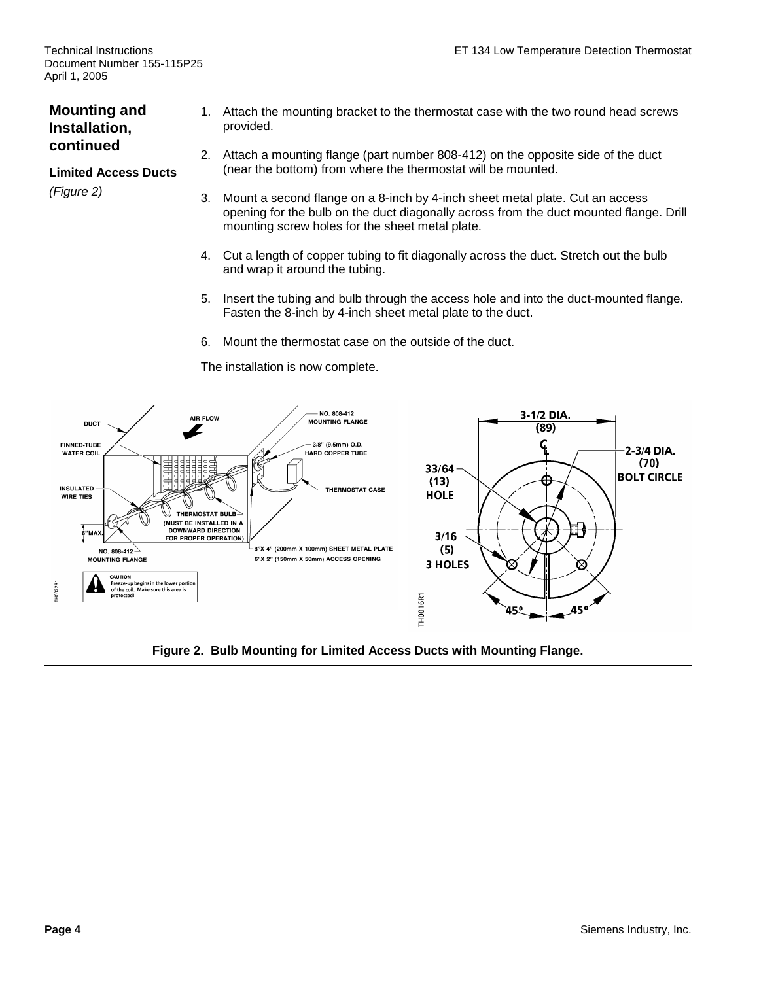### **Mounting and Installation, continued**

#### **Limited Access Ducts**

*(Figure 2)*

- 1. Attach the mounting bracket to the thermostat case with the two round head screws provided.
- 2. Attach a mounting flange (part number 808-412) on the opposite side of the duct (near the bottom) from where the thermostat will be mounted.
- 3. Mount a second flange on a 8-inch by 4-inch sheet metal plate. Cut an access opening for the bulb on the duct diagonally across from the duct mounted flange. Drill mounting screw holes for the sheet metal plate.
- 4. Cut a length of copper tubing to fit diagonally across the duct. Stretch out the bulb and wrap it around the tubing.
- 5. Insert the tubing and bulb through the access hole and into the duct-mounted flange. Fasten the 8-inch by 4-inch sheet metal plate to the duct.
- 6. Mount the thermostat case on the outside of the duct.



#### The installation is now complete.

**Figure 2. Bulb Mounting for Limited Access Ducts with Mounting Flange.**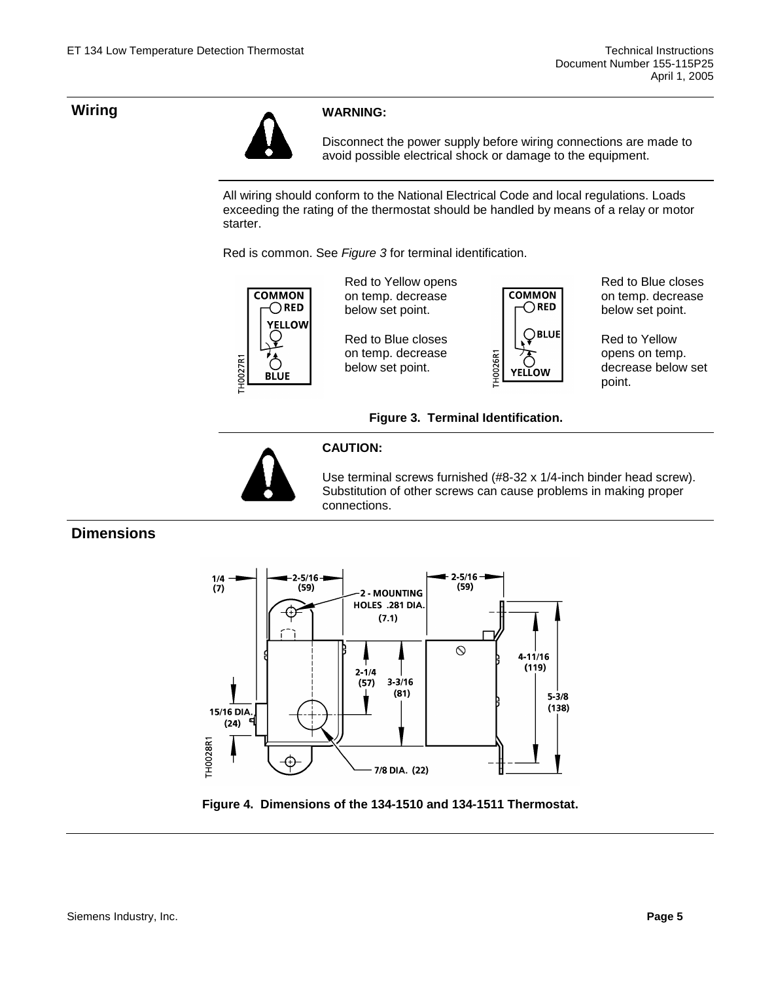

Disconnect the power supply before wiring connections are made to avoid possible electrical shock or damage to the equipment.

All wiring should conform to the National Electrical Code and local regulations. Loads exceeding the rating of the thermostat should be handled by means of a relay or motor starter.

Red is common. See *Figure 3* for terminal identification.



Red to Yellow opens on temp. decrease below set point.

Red to Blue closes on temp. decrease below set point.



Red to Blue closes on temp. decrease below set point.

Red to Yellow opens on temp. decrease below set point.

#### **Figure 3. Terminal Identification.**



#### **CAUTION:**

Use terminal screws furnished (#8-32 x 1/4-inch binder head screw). Substitution of other screws can cause problems in making proper connections.

### **Dimensions**



**Figure 4. Dimensions of the 134-1510 and 134-1511 Thermostat.**